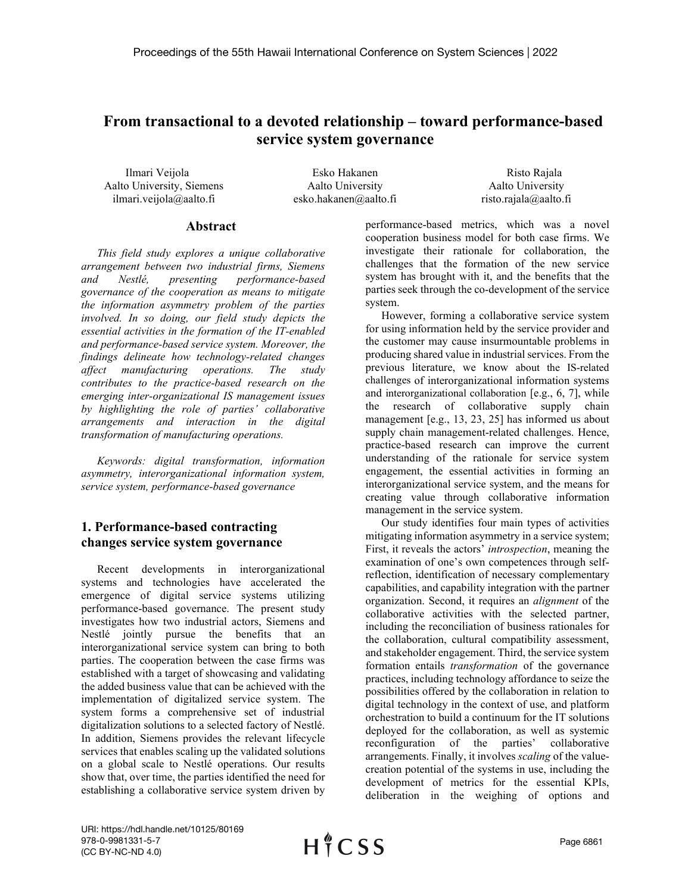# **From transactional to a devoted relationship – toward performance-based service system governance**

Ilmari Veijola **Esko Hakanen** Risto Rajala Aalto University, Siemens ilmari.veijola@aalto.fi

Aalto University esko.hakanen@aalto.fi

Aalto University risto.rajala@aalto.fi

#### **Abstract**

*This field study explores a unique collaborative arrangement between two industrial firms, Siemens and Nestlé, presenting performance-based governance of the cooperation as means to mitigate the information asymmetry problem of the parties involved. In so doing, our field study depicts the essential activities in the formation of the IT-enabled and performance-based service system. Moreover, the findings delineate how technology-related changes affect manufacturing operations. The study contributes to the practice-based research on the emerging inter-organizational IS management issues by highlighting the role of parties' collaborative arrangements and interaction in the digital transformation of manufacturing operations.*

*Keywords: digital transformation, information asymmetry, interorganizational information system, service system, performance-based governance*

# **1. Performance-based contracting changes service system governance**

Recent developments in interorganizational systems and technologies have accelerated the emergence of digital service systems utilizing performance-based governance. The present study investigates how two industrial actors, Siemens and Nestlé jointly pursue the benefits that an interorganizational service system can bring to both parties. The cooperation between the case firms was established with a target of showcasing and validating the added business value that can be achieved with the implementation of digitalized service system. The system forms a comprehensive set of industrial digitalization solutions to a selected factory of Nestlé. In addition, Siemens provides the relevant lifecycle services that enables scaling up the validated solutions on a global scale to Nestlé operations. Our results show that, over time, the parties identified the need for establishing a collaborative service system driven by

performance-based metrics, which was a novel cooperation business model for both case firms. We investigate their rationale for collaboration, the challenges that the formation of the new service system has brought with it, and the benefits that the parties seek through the co-development of the service system.

However, forming a collaborative service system for using information held by the service provider and the customer may cause insurmountable problems in producing shared value in industrial services. From the previous literature, we know about the IS-related challenges of interorganizational information systems and interorganizational collaboration [e.g., 6, 7], while the research of collaborative supply chain management [e.g., 13, 23, 25] has informed us about supply chain management-related challenges. Hence, practice-based research can improve the current understanding of the rationale for service system engagement, the essential activities in forming an interorganizational service system, and the means for creating value through collaborative information management in the service system.

Our study identifies four main types of activities mitigating information asymmetry in a service system; First, it reveals the actors' *introspection*, meaning the examination of one's own competences through selfreflection, identification of necessary complementary capabilities, and capability integration with the partner organization. Second, it requires an *alignment* of the collaborative activities with the selected partner, including the reconciliation of business rationales for the collaboration, cultural compatibility assessment, and stakeholder engagement. Third, the service system formation entails *transformation* of the governance practices, including technology affordance to seize the possibilities offered by the collaboration in relation to digital technology in the context of use, and platform orchestration to build a continuum for the IT solutions deployed for the collaboration, as well as systemic reconfiguration of the parties' collaborative arrangements. Finally, it involves *scaling* of the valuecreation potential of the systems in use, including the development of metrics for the essential KPIs, deliberation in the weighing of options and

URI: https://hdl.handle.net/10125/80169 978-0-9981331-5-7 (CC BY-NC-ND 4.0)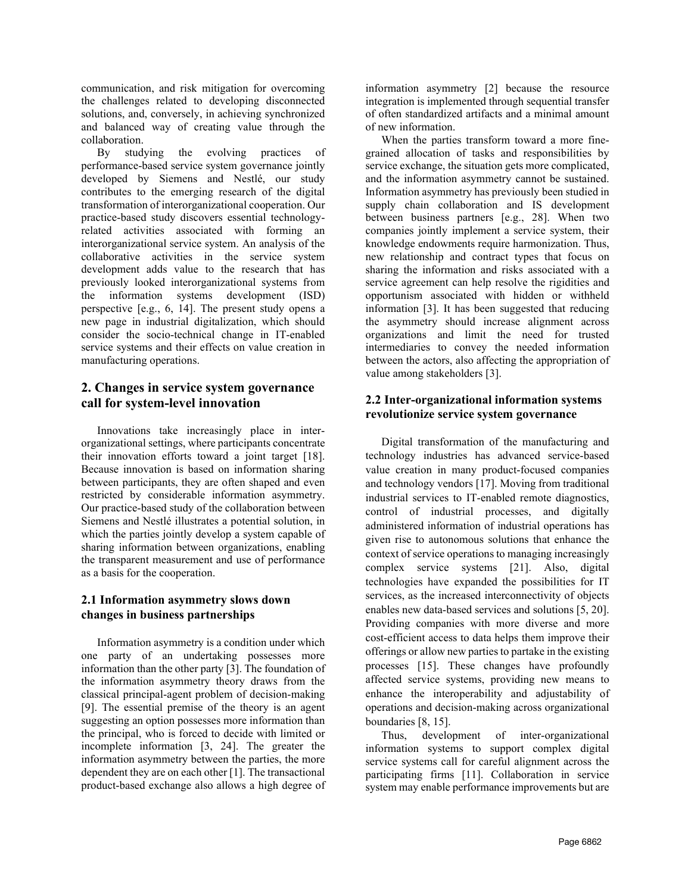communication, and risk mitigation for overcoming the challenges related to developing disconnected solutions, and, conversely, in achieving synchronized and balanced way of creating value through the collaboration.

By studying the evolving practices of performance-based service system governance jointly developed by Siemens and Nestlé, our study contributes to the emerging research of the digital transformation of interorganizational cooperation. Our practice-based study discovers essential technologyrelated activities associated with forming an interorganizational service system. An analysis of the collaborative activities in the service system development adds value to the research that has previously looked interorganizational systems from the information systems development (ISD) perspective [e.g., 6, 14]. The present study opens a new page in industrial digitalization, which should consider the socio-technical change in IT-enabled service systems and their effects on value creation in manufacturing operations.

# **2. Changes in service system governance call for system-level innovation**

Innovations take increasingly place in interorganizational settings, where participants concentrate their innovation efforts toward a joint target [18]. Because innovation is based on information sharing between participants, they are often shaped and even restricted by considerable information asymmetry. Our practice-based study of the collaboration between Siemens and Nestlé illustrates a potential solution, in which the parties jointly develop a system capable of sharing information between organizations, enabling the transparent measurement and use of performance as a basis for the cooperation.

# **2.1 Information asymmetry slows down changes in business partnerships**

Information asymmetry is a condition under which one party of an undertaking possesses more information than the other party [3]. The foundation of the information asymmetry theory draws from the classical principal-agent problem of decision-making [9]. The essential premise of the theory is an agent suggesting an option possesses more information than the principal, who is forced to decide with limited or incomplete information [3, 24]. The greater the information asymmetry between the parties, the more dependent they are on each other [1]. The transactional product-based exchange also allows a high degree of

information asymmetry [2] because the resource integration is implemented through sequential transfer of often standardized artifacts and a minimal amount of new information.

When the parties transform toward a more finegrained allocation of tasks and responsibilities by service exchange, the situation gets more complicated, and the information asymmetry cannot be sustained. Information asymmetry has previously been studied in supply chain collaboration and IS development between business partners [e.g., 28]. When two companies jointly implement a service system, their knowledge endowments require harmonization. Thus, new relationship and contract types that focus on sharing the information and risks associated with a service agreement can help resolve the rigidities and opportunism associated with hidden or withheld information [3]. It has been suggested that reducing the asymmetry should increase alignment across organizations and limit the need for trusted intermediaries to convey the needed information between the actors, also affecting the appropriation of value among stakeholders [3].

#### **2.2 Inter-organizational information systems revolutionize service system governance**

Digital transformation of the manufacturing and technology industries has advanced service-based value creation in many product-focused companies and technology vendors [17]. Moving from traditional industrial services to IT-enabled remote diagnostics, control of industrial processes, and digitally administered information of industrial operations has given rise to autonomous solutions that enhance the context of service operations to managing increasingly complex service systems [21]. Also, digital technologies have expanded the possibilities for IT services, as the increased interconnectivity of objects enables new data-based services and solutions [5, 20]. Providing companies with more diverse and more cost-efficient access to data helps them improve their offerings or allow new parties to partake in the existing processes [15]. These changes have profoundly affected service systems, providing new means to enhance the interoperability and adjustability of operations and decision-making across organizational boundaries [8, 15].

Thus, development of inter-organizational information systems to support complex digital service systems call for careful alignment across the participating firms [11]. Collaboration in service system may enable performance improvements but are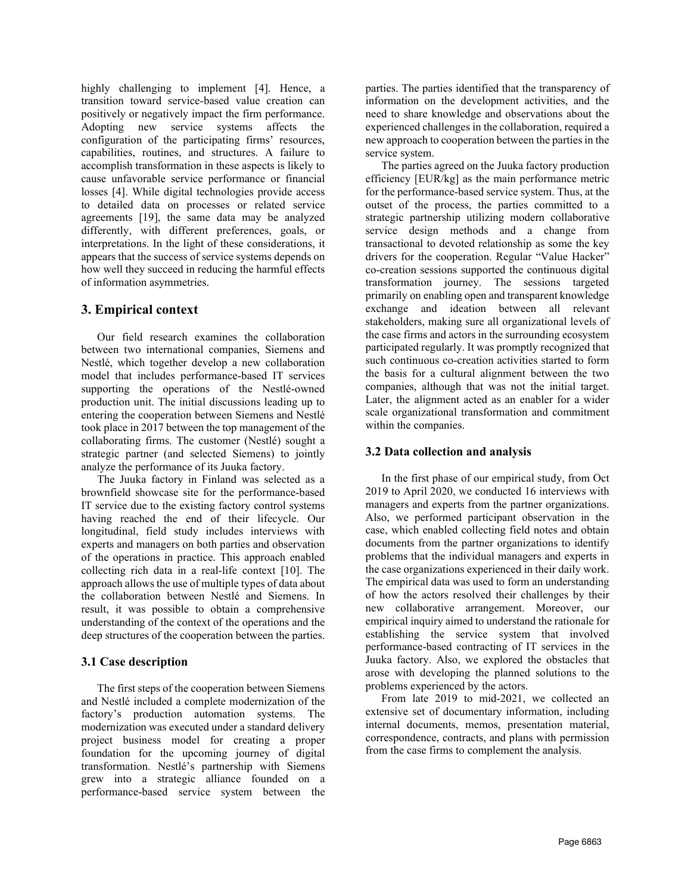highly challenging to implement [4]. Hence, a transition toward service-based value creation can positively or negatively impact the firm performance. Adopting new service systems affects the configuration of the participating firms' resources, capabilities, routines, and structures. A failure to accomplish transformation in these aspects is likely to cause unfavorable service performance or financial losses [4]. While digital technologies provide access to detailed data on processes or related service agreements [19], the same data may be analyzed differently, with different preferences, goals, or interpretations. In the light of these considerations, it appears that the success of service systems depends on how well they succeed in reducing the harmful effects of information asymmetries.

## **3. Empirical context**

Our field research examines the collaboration between two international companies, Siemens and Nestlé, which together develop a new collaboration model that includes performance-based IT services supporting the operations of the Nestlé-owned production unit. The initial discussions leading up to entering the cooperation between Siemens and Nestlé took place in 2017 between the top management of the collaborating firms. The customer (Nestlé) sought a strategic partner (and selected Siemens) to jointly analyze the performance of its Juuka factory.

The Juuka factory in Finland was selected as a brownfield showcase site for the performance-based IT service due to the existing factory control systems having reached the end of their lifecycle. Our longitudinal, field study includes interviews with experts and managers on both parties and observation of the operations in practice. This approach enabled collecting rich data in a real-life context [10]. The approach allows the use of multiple types of data about the collaboration between Nestlé and Siemens. In result, it was possible to obtain a comprehensive understanding of the context of the operations and the deep structures of the cooperation between the parties.

## **3.1 Case description**

The first steps of the cooperation between Siemens and Nestlé included a complete modernization of the factory's production automation systems. The modernization was executed under a standard delivery project business model for creating a proper foundation for the upcoming journey of digital transformation. Nestlé's partnership with Siemens grew into a strategic alliance founded on a performance-based service system between the

parties. The parties identified that the transparency of information on the development activities, and the need to share knowledge and observations about the experienced challenges in the collaboration, required a new approach to cooperation between the parties in the service system.

The parties agreed on the Juuka factory production efficiency [EUR/kg] as the main performance metric for the performance-based service system. Thus, at the outset of the process, the parties committed to a strategic partnership utilizing modern collaborative service design methods and a change from transactional to devoted relationship as some the key drivers for the cooperation. Regular "Value Hacker" co-creation sessions supported the continuous digital transformation journey. The sessions targeted primarily on enabling open and transparent knowledge exchange and ideation between all relevant stakeholders, making sure all organizational levels of the case firms and actors in the surrounding ecosystem participated regularly. It was promptly recognized that such continuous co-creation activities started to form the basis for a cultural alignment between the two companies, although that was not the initial target. Later, the alignment acted as an enabler for a wider scale organizational transformation and commitment within the companies.

## **3.2 Data collection and analysis**

In the first phase of our empirical study, from Oct 2019 to April 2020, we conducted 16 interviews with managers and experts from the partner organizations. Also, we performed participant observation in the case, which enabled collecting field notes and obtain documents from the partner organizations to identify problems that the individual managers and experts in the case organizations experienced in their daily work. The empirical data was used to form an understanding of how the actors resolved their challenges by their new collaborative arrangement. Moreover, our empirical inquiry aimed to understand the rationale for establishing the service system that involved performance-based contracting of IT services in the Juuka factory. Also, we explored the obstacles that arose with developing the planned solutions to the problems experienced by the actors.

From late 2019 to mid-2021, we collected an extensive set of documentary information, including internal documents, memos, presentation material, correspondence, contracts, and plans with permission from the case firms to complement the analysis.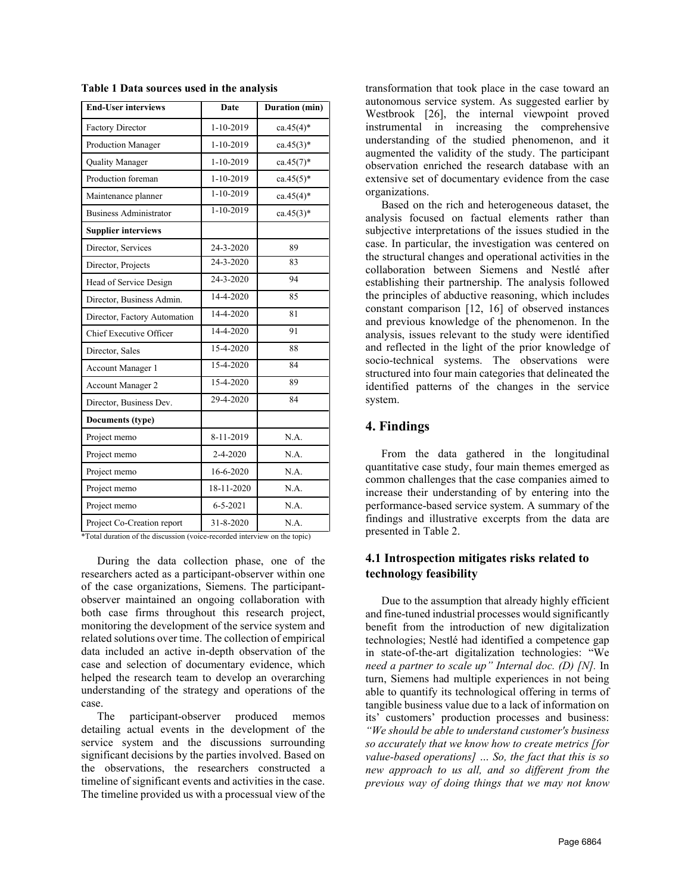| <b>End-User interviews</b>    | Date            | <b>Duration</b> (min) |  |
|-------------------------------|-----------------|-----------------------|--|
| Factory Director              | 1-10-2019       | $ca.45(4)$ *          |  |
| <b>Production Manager</b>     | $1-10-2019$     | $ca.45(3)$ *          |  |
| Quality Manager               | $1-10-2019$     | $ca.45(7)$ *          |  |
| Production foreman            | $1-10-2019$     | $ca.45(5)$ *          |  |
| Maintenance planner           | 1-10-2019       | $ca.45(4)$ *          |  |
| <b>Business Administrator</b> | 1-10-2019       | $ca.45(3)$ *          |  |
| <b>Supplier interviews</b>    |                 |                       |  |
| Director, Services            | 24-3-2020       | 89                    |  |
| Director, Projects            | 24-3-2020       | 83                    |  |
| Head of Service Design        | $24 - 3 - 2020$ | 94                    |  |
| Director, Business Admin.     | 14-4-2020       | 85                    |  |
| Director, Factory Automation  | 14-4-2020       | 81                    |  |
| Chief Executive Officer       | 14-4-2020       | 91                    |  |
| Director, Sales               | 15-4-2020       | 88                    |  |
| Account Manager 1             | 15-4-2020       | 84                    |  |
| Account Manager 2             | 15-4-2020       | 89                    |  |
| Director, Business Dev.       | 29-4-2020       | 84                    |  |
| Documents (type)              |                 |                       |  |
| Project memo                  | 8-11-2019       | N.A.                  |  |
| Project memo                  | $2 - 4 - 2020$  | N.A.                  |  |
| Project memo                  | 16-6-2020       | N.A.                  |  |
| Project memo                  | 18-11-2020      | N.A.                  |  |
| Project memo                  | $6 - 5 - 2021$  | N.A.                  |  |
| Project Co-Creation report    | 31-8-2020       | N.A.                  |  |

**Table 1 Data sources used in the analysis**

\*Total duration of the discussion (voice-recorded interview on the topic)

During the data collection phase, one of the researchers acted as a participant-observer within one of the case organizations, Siemens. The participantobserver maintained an ongoing collaboration with both case firms throughout this research project, monitoring the development of the service system and related solutions over time. The collection of empirical data included an active in-depth observation of the case and selection of documentary evidence, which helped the research team to develop an overarching understanding of the strategy and operations of the case.

The participant-observer produced memos detailing actual events in the development of the service system and the discussions surrounding significant decisions by the parties involved. Based on the observations, the researchers constructed a timeline of significant events and activities in the case. The timeline provided us with a processual view of the

transformation that took place in the case toward an autonomous service system. As suggested earlier by Westbrook [26], the internal viewpoint proved instrumental in increasing the comprehensive understanding of the studied phenomenon, and it augmented the validity of the study. The participant observation enriched the research database with an extensive set of documentary evidence from the case organizations.

Based on the rich and heterogeneous dataset, the analysis focused on factual elements rather than subjective interpretations of the issues studied in the case. In particular, the investigation was centered on the structural changes and operational activities in the collaboration between Siemens and Nestlé after establishing their partnership. The analysis followed the principles of abductive reasoning, which includes constant comparison [12, 16] of observed instances and previous knowledge of the phenomenon. In the analysis, issues relevant to the study were identified and reflected in the light of the prior knowledge of socio-technical systems. The observations were structured into four main categories that delineated the identified patterns of the changes in the service system.

#### **4. Findings**

From the data gathered in the longitudinal quantitative case study, four main themes emerged as common challenges that the case companies aimed to increase their understanding of by entering into the performance-based service system. A summary of the findings and illustrative excerpts from the data are presented in Table 2.

#### **4.1 Introspection mitigates risks related to technology feasibility**

Due to the assumption that already highly efficient and fine-tuned industrial processes would significantly benefit from the introduction of new digitalization technologies; Nestlé had identified a competence gap in state-of-the-art digitalization technologies: "We *need a partner to scale up" Internal doc. (D) [N].* In turn, Siemens had multiple experiences in not being able to quantify its technological offering in terms of tangible business value due to a lack of information on its' customers' production processes and business: *"We should be able to understand customer's business so accurately that we know how to create metrics [for value-based operations] … So, the fact that this is so new approach to us all, and so different from the previous way of doing things that we may not know*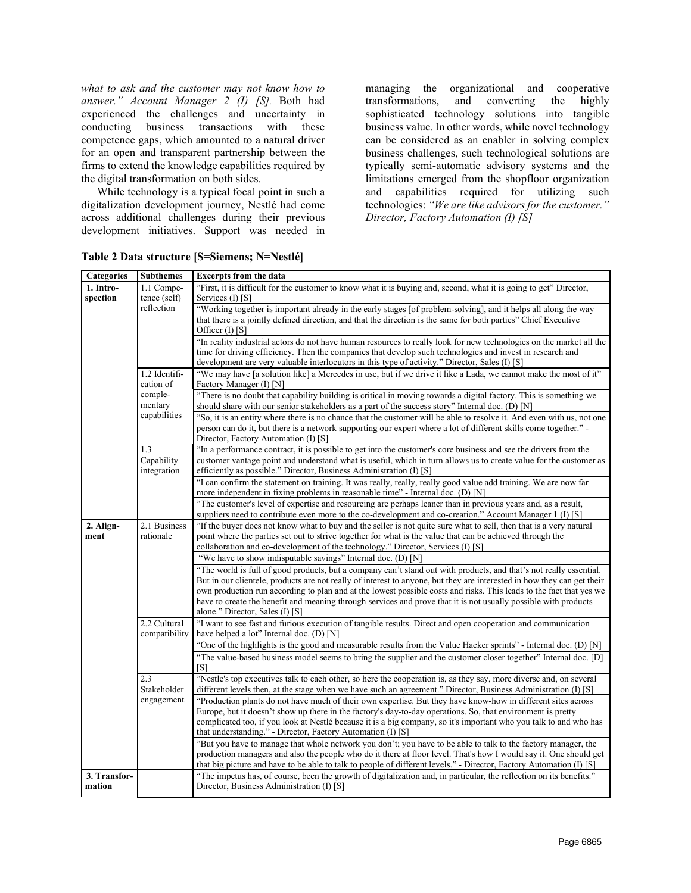*what to ask and the customer may not know how to answer." Account Manager 2 (I) [S].* Both had experienced the challenges and uncertainty in conducting business transactions with these competence gaps, which amounted to a natural driver for an open and transparent partnership between the firms to extend the knowledge capabilities required by the digital transformation on both sides.

While technology is a typical focal point in such a digitalization development journey, Nestlé had come across additional challenges during their previous development initiatives. Support was needed in managing the organizational and cooperative transformations, and converting the highly sophisticated technology solutions into tangible business value. In other words, while novel technology can be considered as an enabler in solving complex business challenges, such technological solutions are typically semi-automatic advisory systems and the limitations emerged from the shopfloor organization and capabilities required for utilizing such technologies: *"We are like advisors for the customer." Director, Factory Automation (I) [S]*

| <b>Categories</b> | <b>Subthemes</b> | <b>Excerpts from the data</b>                                                                                          |  |
|-------------------|------------------|------------------------------------------------------------------------------------------------------------------------|--|
| 1. Intro-         | 1.1 Compe-       | "First, it is difficult for the customer to know what it is buying and, second, what it is going to get" Director,     |  |
| spection          | tence (self)     | Services (I) [S]                                                                                                       |  |
|                   | reflection       | "Working together is important already in the early stages [of problem-solving], and it helps all along the way        |  |
|                   |                  | that there is a jointly defined direction, and that the direction is the same for both parties" Chief Executive        |  |
|                   |                  | Officer $(I)$ [S]                                                                                                      |  |
|                   |                  | "In reality industrial actors do not have human resources to really look for new technologies on the market all the    |  |
|                   |                  | time for driving efficiency. Then the companies that develop such technologies and invest in research and              |  |
|                   |                  | development are very valuable interlocutors in this type of activity." Director, Sales (I) [S]                         |  |
|                   | 1.2 Identifi-    | "We may have [a solution like] a Mercedes in use, but if we drive it like a Lada, we cannot make the most of it"       |  |
|                   | cation of        | Factory Manager (I) [N]                                                                                                |  |
|                   | comple-          | "There is no doubt that capability building is critical in moving towards a digital factory. This is something we      |  |
|                   | mentary          | should share with our senior stakeholders as a part of the success story" Internal doc. (D) [N]                        |  |
|                   | capabilities     | "So, it is an entity where there is no chance that the customer will be able to resolve it. And even with us, not one  |  |
|                   |                  |                                                                                                                        |  |
|                   |                  | person can do it, but there is a network supporting our expert where a lot of different skills come together."         |  |
|                   |                  | Director, Factory Automation (I) [S]                                                                                   |  |
|                   | 1.3              | "In a performance contract, it is possible to get into the customer's core business and see the drivers from the       |  |
|                   | Capability       | customer vantage point and understand what is useful, which in turn allows us to create value for the customer as      |  |
|                   | integration      | efficiently as possible." Director, Business Administration (I) [S]                                                    |  |
|                   |                  | "I can confirm the statement on training. It was really, really, really good value add training. We are now far        |  |
|                   |                  | more independent in fixing problems in reasonable time" - Internal doc. (D) [N]                                        |  |
|                   |                  | "The customer's level of expertise and resourcing are perhaps leaner than in previous years and, as a result,          |  |
|                   |                  | suppliers need to contribute even more to the co-development and co-creation." Account Manager 1 (I) [S]               |  |
| 2. Align-         | 2.1 Business     | "If the buyer does not know what to buy and the seller is not quite sure what to sell, then that is a very natural     |  |
| ment              | rationale        | point where the parties set out to strive together for what is the value that can be achieved through the              |  |
|                   |                  | collaboration and co-development of the technology." Director, Services (I) [S]                                        |  |
|                   |                  | "We have to show indisputable savings" Internal doc. (D) [N]                                                           |  |
|                   |                  | "The world is full of good products, but a company can't stand out with products, and that's not really essential.     |  |
|                   |                  | But in our clientele, products are not really of interest to anyone, but they are interested in how they can get their |  |
|                   |                  | own production run according to plan and at the lowest possible costs and risks. This leads to the fact that yes we    |  |
|                   |                  | have to create the benefit and meaning through services and prove that it is not usually possible with products        |  |
|                   |                  | alone." Director, Sales (I) [S]                                                                                        |  |
|                   | 2.2 Cultural     | "I want to see fast and furious execution of tangible results. Direct and open cooperation and communication           |  |
|                   | compatibility    | have helped a lot" Internal doc. $(D)$ [N]                                                                             |  |
|                   |                  | "One of the highlights is the good and measurable results from the Value Hacker sprints" - Internal doc. (D) [N]       |  |
|                   |                  | "The value-based business model seems to bring the supplier and the customer closer together" Internal doc. [D]        |  |
|                   |                  | [S]                                                                                                                    |  |
|                   | 2.3              | "Nestle's top executives talk to each other, so here the cooperation is, as they say, more diverse and, on several     |  |
|                   | Stakeholder      | different levels then, at the stage when we have such an agreement." Director, Business Administration (I) [S]         |  |
|                   | engagement       | "Production plants do not have much of their own expertise. But they have know-how in different sites across           |  |
|                   |                  | Europe, but it doesn't show up there in the factory's day-to-day operations. So, that environment is pretty            |  |
|                   |                  | complicated too, if you look at Nestlé because it is a big company, so it's important who you talk to and who has      |  |
|                   |                  |                                                                                                                        |  |
|                   |                  | that understanding." - Director, Factory Automation (I) [S]                                                            |  |
|                   |                  | "But you have to manage that whole network you don't; you have to be able to talk to the factory manager, the          |  |
|                   |                  | production managers and also the people who do it there at floor level. That's how I would say it. One should get      |  |
|                   |                  | that big picture and have to be able to talk to people of different levels." - Director, Factory Automation (I) [S]    |  |
| 3. Transfor-      |                  | "The impetus has, of course, been the growth of digitalization and, in particular, the reflection on its benefits."    |  |
| mation            |                  | Director, Business Administration (I) [S]                                                                              |  |

**Table 2 Data structure [S=Siemens; N=Nestlé]**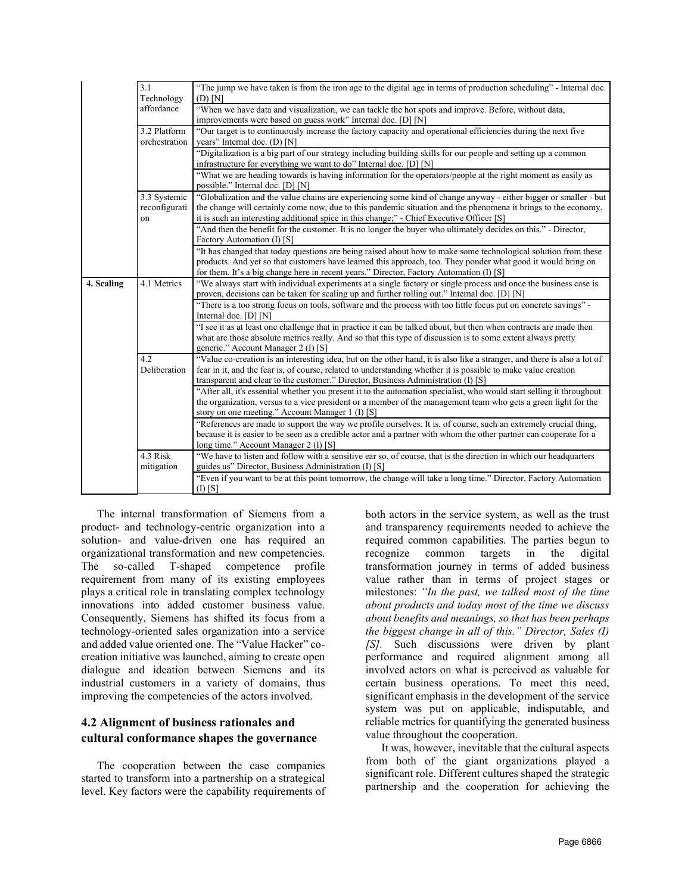|            | 3.1<br>Technology             | "The jump we have taken is from the iron age to the digital age in terms of production scheduling" - Internal doc.<br>$(D)$ $[N]$                                                                                                                                                                                               |  |
|------------|-------------------------------|---------------------------------------------------------------------------------------------------------------------------------------------------------------------------------------------------------------------------------------------------------------------------------------------------------------------------------|--|
|            | affordance                    | "When we have data and visualization, we can tackle the hot spots and improve. Before, without data,<br>improvements were based on guess work" Internal doc. [D] [N]                                                                                                                                                            |  |
|            | 3.2 Platform<br>orchestration | "Our target is to continuously increase the factory capacity and operational efficiencies during the next five<br>years" Internal doc. (D) [N]                                                                                                                                                                                  |  |
|            |                               | "Digitalization is a big part of our strategy including building skills for our people and setting up a common<br>infrastructure for everything we want to do" Internal doc. [D] [N]                                                                                                                                            |  |
|            |                               | "What we are heading towards is having information for the operators/people at the right moment as easily as<br>possible." Internal doc. [D] [N]                                                                                                                                                                                |  |
|            | 3.3 Systemic<br>reconfigurati | "Globalization and the value chains are experiencing some kind of change anyway - either bigger or smaller - but<br>the change will certainly come now, due to this pandemic situation and the phenomena it brings to the economy,                                                                                              |  |
|            | on                            | it is such an interesting additional spice in this change;" - Chief Executive Officer [S]<br>"And then the benefit for the customer. It is no longer the buyer who ultimately decides on this." - Director,<br>Factory Automation (I) [S]                                                                                       |  |
|            |                               | "It has changed that today questions are being raised about how to make some technological solution from these<br>products. And yet so that customers have learned this approach, too. They ponder what good it would bring on<br>for them. It's a big change here in recent years." Director, Factory Automation (I) [S]       |  |
| 4. Scaling | 4.1 Metrics                   | "We always start with individual experiments at a single factory or single process and once the business case is<br>proven, decisions can be taken for scaling up and further rolling out." Internal doc. [D] [N]                                                                                                               |  |
|            |                               | "There is a too strong focus on tools, software and the process with too little focus put on concrete savings"-<br>Internal doc. [D] [N]                                                                                                                                                                                        |  |
|            |                               | "I see it as at least one challenge that in practice it can be talked about, but then when contracts are made then<br>what are those absolute metrics really. And so that this type of discussion is to some extent always pretty<br>generic." Account Manager 2 (I) [S]                                                        |  |
|            | 4.2<br>Deliberation           | "Value co-creation is an interesting idea, but on the other hand, it is also like a stranger, and there is also a lot of<br>fear in it, and the fear is, of course, related to understanding whether it is possible to make value creation<br>transparent and clear to the customer." Director, Business Administration (I) [S] |  |
|            |                               | "After all, it's essential whether you present it to the automation specialist, who would start selling it throughout<br>the organization, versus to a vice president or a member of the management team who gets a green light for the<br>story on one meeting." Account Manager 1 (I) [S]                                     |  |
|            |                               | "References are made to support the way we profile ourselves. It is, of course, such an extremely crucial thing,<br>because it is easier to be seen as a credible actor and a partner with whom the other partner can cooperate for a<br>long time." Account Manager 2 (I) [S]                                                  |  |
|            | 4.3 Risk<br>mitigation        | "We have to listen and follow with a sensitive ear so, of course, that is the direction in which our headquarters<br>guides us" Director, Business Administration (I) [S]                                                                                                                                                       |  |
|            |                               | "Even if you want to be at this point tomorrow, the change will take a long time." Director, Factory Automation<br>$(I)$ [S]                                                                                                                                                                                                    |  |

The internal transformation of Siemens from a product- and technology-centric organization into a solution- and value-driven one has required an organizational transformation and new competencies. The so-called T-shaped competence profile requirement from many of its existing employees plays a critical role in translating complex technology innovations into added customer business value. Consequently, Siemens has shifted its focus from a technology-oriented sales organization into a service and added value oriented one. The "Value Hacker" cocreation initiative was launched, aiming to create open dialogue and ideation between Siemens and its industrial customers in a variety of domains, thus improving the competencies of the actors involved.

# **4.2 Alignment of business rationales and cultural conformance shapes the governance**

The cooperation between the case companies started to transform into a partnership on a strategical level. Key factors were the capability requirements of both actors in the service system, as well as the trust and transparency requirements needed to achieve the required common capabilities. The parties begun to recognize common targets in the digital transformation journey in terms of added business value rather than in terms of project stages or milestones: *"In the past, we talked most of the time about products and today most of the time we discuss about benefits and meanings, so that has been perhaps the biggest change in all of this." Director, Sales (I) [S].* Such discussions were driven by plant performance and required alignment among all involved actors on what is perceived as valuable for certain business operations. To meet this need, significant emphasis in the development of the service system was put on applicable, indisputable, and reliable metrics for quantifying the generated business value throughout the cooperation.

It was, however, inevitable that the cultural aspects from both of the giant organizations played a significant role. Different cultures shaped the strategic partnership and the cooperation for achieving the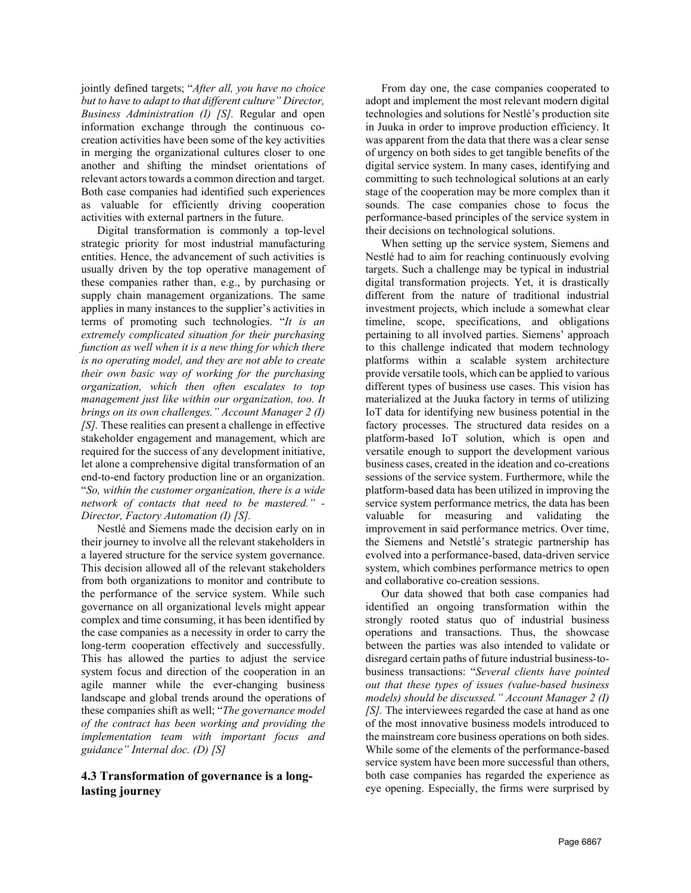jointly defined targets; "*After all, you have no choice but to have to adapt to that different culture" Director, Business Administration (I) [S].* Regular and open information exchange through the continuous cocreation activities have been some of the key activities in merging the organizational cultures closer to one another and shifting the mindset orientations of relevant actors towards a common direction and target. Both case companies had identified such experiences as valuable for efficiently driving cooperation activities with external partners in the future.

Digital transformation is commonly a top-level strategic priority for most industrial manufacturing entities. Hence, the advancement of such activities is usually driven by the top operative management of these companies rather than, e.g., by purchasing or supply chain management organizations. The same applies in many instances to the supplier's activities in terms of promoting such technologies. "*It is an extremely complicated situation for their purchasing function as well when it is a new thing for which there is no operating model, and they are not able to create their own basic way of working for the purchasing organization, which then often escalates to top management just like within our organization, too. It brings on its own challenges." Account Manager 2 (I) [S].* These realities can present a challenge in effective stakeholder engagement and management, which are required for the success of any development initiative, let alone a comprehensive digital transformation of an end-to-end factory production line or an organization. "*So, within the customer organization, there is a wide network of contacts that need to be mastered." - Director, Factory Automation (I) [S].*

Nestlé and Siemens made the decision early on in their journey to involve all the relevant stakeholders in a layered structure for the service system governance. This decision allowed all of the relevant stakeholders from both organizations to monitor and contribute to the performance of the service system. While such governance on all organizational levels might appear complex and time consuming, it has been identified by the case companies as a necessity in order to carry the long-term cooperation effectively and successfully. This has allowed the parties to adjust the service system focus and direction of the cooperation in an agile manner while the ever-changing business landscape and global trends around the operations of these companies shift as well; "*The governance model of the contract has been working and providing the implementation team with important focus and guidance" Internal doc. (D) [S]*

## **4.3 Transformation of governance is a longlasting journey**

From day one, the case companies cooperated to adopt and implement the most relevant modern digital technologies and solutions for Nestlé's production site in Juuka in order to improve production efficiency. It was apparent from the data that there was a clear sense of urgency on both sides to get tangible benefits of the digital service system. In many cases, identifying and committing to such technological solutions at an early stage of the cooperation may be more complex than it sounds. The case companies chose to focus the performance-based principles of the service system in their decisions on technological solutions.

When setting up the service system, Siemens and Nestlé had to aim for reaching continuously evolving targets. Such a challenge may be typical in industrial digital transformation projects. Yet, it is drastically different from the nature of traditional industrial investment projects, which include a somewhat clear timeline, scope, specifications, and obligations pertaining to all involved parties. Siemens' approach to this challenge indicated that modern technology platforms within a scalable system architecture provide versatile tools, which can be applied to various different types of business use cases. This vision has materialized at the Juuka factory in terms of utilizing IoT data for identifying new business potential in the factory processes. The structured data resides on a platform-based IoT solution, which is open and versatile enough to support the development various business cases, created in the ideation and co-creations sessions of the service system. Furthermore, while the platform-based data has been utilized in improving the service system performance metrics, the data has been valuable for measuring and validating the improvement in said performance metrics. Over time, the Siemens and Netstlé's strategic partnership has evolved into a performance-based, data-driven service system, which combines performance metrics to open and collaborative co-creation sessions.

Our data showed that both case companies had identified an ongoing transformation within the strongly rooted status quo of industrial business operations and transactions. Thus, the showcase between the parties was also intended to validate or disregard certain paths of future industrial business-tobusiness transactions: "*Several clients have pointed out that these types of issues (value-based business models) should be discussed." Account Manager 2 (I) [S].* The interviewees regarded the case at hand as one of the most innovative business models introduced to the mainstream core business operations on both sides. While some of the elements of the performance-based service system have been more successful than others, both case companies has regarded the experience as eye opening. Especially, the firms were surprised by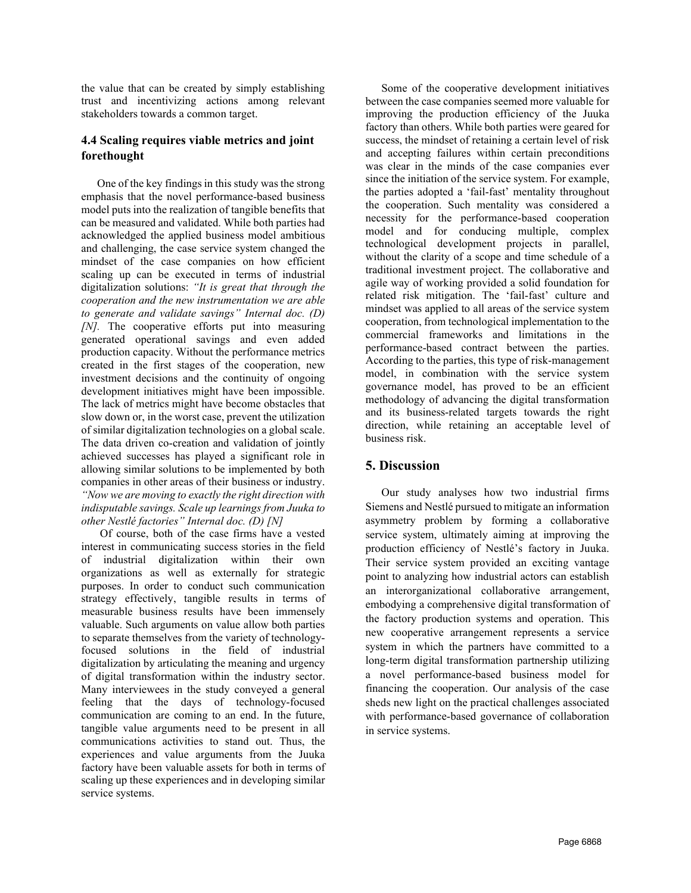the value that can be created by simply establishing trust and incentivizing actions among relevant stakeholders towards a common target.

## **4.4 Scaling requires viable metrics and joint forethought**

One of the key findings in this study was the strong emphasis that the novel performance-based business model puts into the realization of tangible benefits that can be measured and validated. While both parties had acknowledged the applied business model ambitious and challenging, the case service system changed the mindset of the case companies on how efficient scaling up can be executed in terms of industrial digitalization solutions: *"It is great that through the cooperation and the new instrumentation we are able to generate and validate savings" Internal doc. (D) [N].* The cooperative efforts put into measuring generated operational savings and even added production capacity. Without the performance metrics created in the first stages of the cooperation, new investment decisions and the continuity of ongoing development initiatives might have been impossible. The lack of metrics might have become obstacles that slow down or, in the worst case, prevent the utilization of similar digitalization technologies on a global scale. The data driven co-creation and validation of jointly achieved successes has played a significant role in allowing similar solutions to be implemented by both companies in other areas of their business or industry. *"Now we are moving to exactly the right direction with indisputable savings. Scale up learnings from Juuka to other Nestlé factories" Internal doc. (D) [N]*

Of course, both of the case firms have a vested interest in communicating success stories in the field of industrial digitalization within their own organizations as well as externally for strategic purposes. In order to conduct such communication strategy effectively, tangible results in terms of measurable business results have been immensely valuable. Such arguments on value allow both parties to separate themselves from the variety of technologyfocused solutions in the field of industrial digitalization by articulating the meaning and urgency of digital transformation within the industry sector. Many interviewees in the study conveyed a general feeling that the days of technology-focused communication are coming to an end. In the future, tangible value arguments need to be present in all communications activities to stand out. Thus, the experiences and value arguments from the Juuka factory have been valuable assets for both in terms of scaling up these experiences and in developing similar service systems.

Some of the cooperative development initiatives between the case companies seemed more valuable for improving the production efficiency of the Juuka factory than others. While both parties were geared for success, the mindset of retaining a certain level of risk and accepting failures within certain preconditions was clear in the minds of the case companies ever since the initiation of the service system. For example, the parties adopted a 'fail-fast' mentality throughout the cooperation. Such mentality was considered a necessity for the performance-based cooperation model and for conducing multiple, complex technological development projects in parallel, without the clarity of a scope and time schedule of a traditional investment project. The collaborative and agile way of working provided a solid foundation for related risk mitigation. The 'fail-fast' culture and mindset was applied to all areas of the service system cooperation, from technological implementation to the commercial frameworks and limitations in the performance-based contract between the parties. According to the parties, this type of risk-management model, in combination with the service system governance model, has proved to be an efficient methodology of advancing the digital transformation and its business-related targets towards the right direction, while retaining an acceptable level of business risk.

## **5. Discussion**

Our study analyses how two industrial firms Siemens and Nestlé pursued to mitigate an information asymmetry problem by forming a collaborative service system, ultimately aiming at improving the production efficiency of Nestlé's factory in Juuka. Their service system provided an exciting vantage point to analyzing how industrial actors can establish an interorganizational collaborative arrangement, embodying a comprehensive digital transformation of the factory production systems and operation. This new cooperative arrangement represents a service system in which the partners have committed to a long-term digital transformation partnership utilizing a novel performance-based business model for financing the cooperation. Our analysis of the case sheds new light on the practical challenges associated with performance-based governance of collaboration in service systems.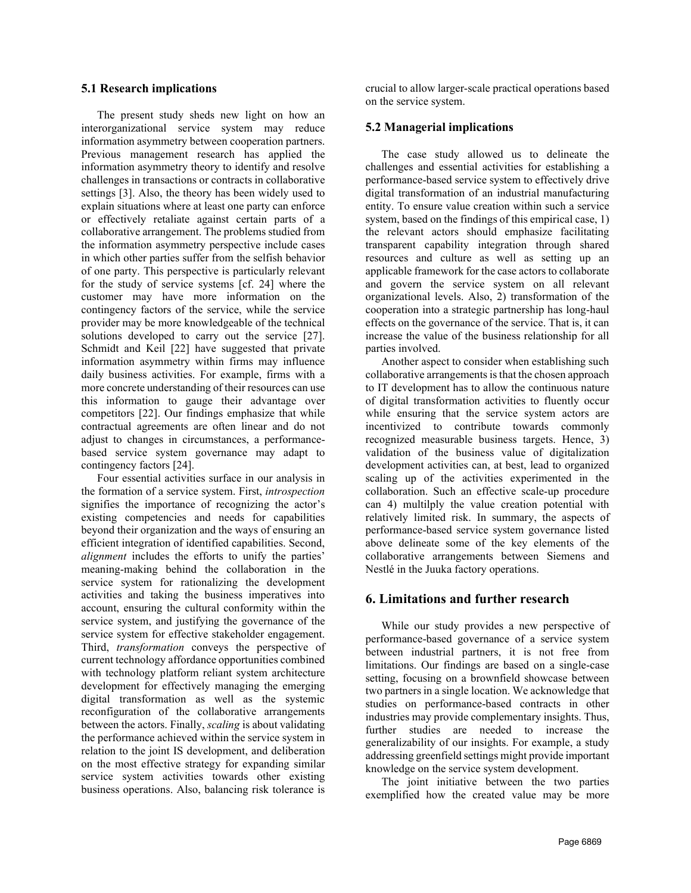#### **5.1 Research implications**

The present study sheds new light on how an interorganizational service system may reduce information asymmetry between cooperation partners. Previous management research has applied the information asymmetry theory to identify and resolve challenges in transactions or contracts in collaborative settings [3]. Also, the theory has been widely used to explain situations where at least one party can enforce or effectively retaliate against certain parts of a collaborative arrangement. The problems studied from the information asymmetry perspective include cases in which other parties suffer from the selfish behavior of one party. This perspective is particularly relevant for the study of service systems [cf. 24] where the customer may have more information on the contingency factors of the service, while the service provider may be more knowledgeable of the technical solutions developed to carry out the service [27]. Schmidt and Keil [22] have suggested that private information asymmetry within firms may influence daily business activities. For example, firms with a more concrete understanding of their resources can use this information to gauge their advantage over competitors [22]. Our findings emphasize that while contractual agreements are often linear and do not adjust to changes in circumstances, a performancebased service system governance may adapt to contingency factors [24].

Four essential activities surface in our analysis in the formation of a service system. First, *introspection* signifies the importance of recognizing the actor's existing competencies and needs for capabilities beyond their organization and the ways of ensuring an efficient integration of identified capabilities. Second, *alignment* includes the efforts to unify the parties' meaning-making behind the collaboration in the service system for rationalizing the development activities and taking the business imperatives into account, ensuring the cultural conformity within the service system, and justifying the governance of the service system for effective stakeholder engagement. Third, *transformation* conveys the perspective of current technology affordance opportunities combined with technology platform reliant system architecture development for effectively managing the emerging digital transformation as well as the systemic reconfiguration of the collaborative arrangements between the actors. Finally, *scaling* is about validating the performance achieved within the service system in relation to the joint IS development, and deliberation on the most effective strategy for expanding similar service system activities towards other existing business operations. Also, balancing risk tolerance is

crucial to allow larger-scale practical operations based on the service system.

#### **5.2 Managerial implications**

The case study allowed us to delineate the challenges and essential activities for establishing a performance-based service system to effectively drive digital transformation of an industrial manufacturing entity. To ensure value creation within such a service system, based on the findings of this empirical case, 1) the relevant actors should emphasize facilitating transparent capability integration through shared resources and culture as well as setting up an applicable framework for the case actors to collaborate and govern the service system on all relevant organizational levels. Also, 2) transformation of the cooperation into a strategic partnership has long-haul effects on the governance of the service. That is, it can increase the value of the business relationship for all parties involved.

Another aspect to consider when establishing such collaborative arrangements is that the chosen approach to IT development has to allow the continuous nature of digital transformation activities to fluently occur while ensuring that the service system actors are incentivized to contribute towards commonly recognized measurable business targets. Hence, 3) validation of the business value of digitalization development activities can, at best, lead to organized scaling up of the activities experimented in the collaboration. Such an effective scale-up procedure can 4) multilply the value creation potential with relatively limited risk. In summary, the aspects of performance-based service system governance listed above delineate some of the key elements of the collaborative arrangements between Siemens and Nestlé in the Juuka factory operations.

#### **6. Limitations and further research**

While our study provides a new perspective of performance-based governance of a service system between industrial partners, it is not free from limitations. Our findings are based on a single-case setting, focusing on a brownfield showcase between two partners in a single location. We acknowledge that studies on performance-based contracts in other industries may provide complementary insights. Thus, further studies are needed to increase the generalizability of our insights. For example, a study addressing greenfield settings might provide important knowledge on the service system development.

The joint initiative between the two parties exemplified how the created value may be more